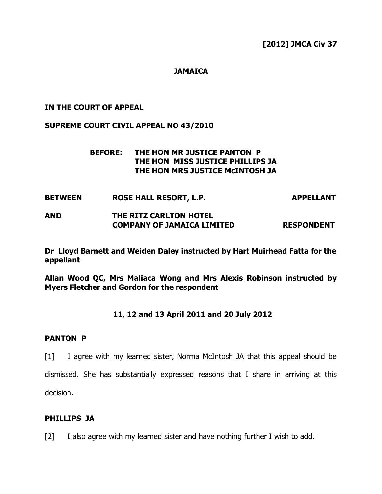**[2012] JMCA Civ 37**

# **JAMAICA**

## **IN THE COURT OF APPEAL**

#### **SUPREME COURT CIVIL APPEAL NO 43/2010**

## **BEFORE: THE HON MR JUSTICE PANTON P THE HON MISS JUSTICE PHILLIPS JA THE HON MRS JUSTICE McINTOSH JA**

- **BETWEEN ROSE HALL RESORT, L.P. APPELLANT AND THE RITZ CARLTON HOTEL**
- **COMPANY OF JAMAICA LIMITED RESPONDENT**

**Dr Lloyd Barnett and Weiden Daley instructed by Hart Muirhead Fatta for the appellant**

**Allan Wood QC, Mrs Maliaca Wong and Mrs Alexis Robinson instructed by Myers Fletcher and Gordon for the respondent**

## **11**, **12 and 13 April 2011 and 20 July 2012**

#### **PANTON P**

[1] I agree with my learned sister, Norma McIntosh JA that this appeal should be

dismissed. She has substantially expressed reasons that I share in arriving at this decision.

#### **PHILLIPS JA**

[2] I also agree with my learned sister and have nothing further I wish to add.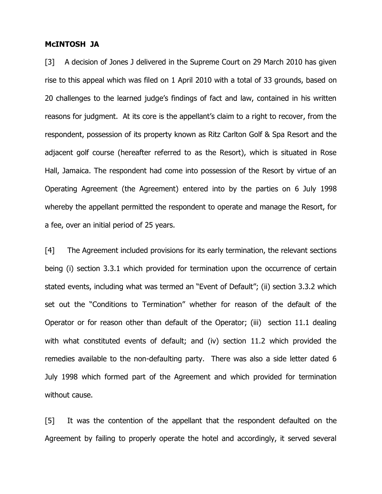#### **McINTOSH JA**

[3] A decision of Jones J delivered in the Supreme Court on 29 March 2010 has given rise to this appeal which was filed on 1 April 2010 with a total of 33 grounds, based on 20 challenges to the learned judge's findings of fact and law, contained in his written reasons for judgment. At its core is the appellant's claim to a right to recover, from the respondent, possession of its property known as Ritz Carlton Golf & Spa Resort and the adjacent golf course (hereafter referred to as the Resort), which is situated in Rose Hall, Jamaica. The respondent had come into possession of the Resort by virtue of an Operating Agreement (the Agreement) entered into by the parties on 6 July 1998 whereby the appellant permitted the respondent to operate and manage the Resort, for a fee, over an initial period of 25 years.

[4] The Agreement included provisions for its early termination, the relevant sections being (i) section 3.3.1 which provided for termination upon the occurrence of certain stated events, including what was termed an "Event of Default"; (ii) section 3.3.2 which set out the "Conditions to Termination" whether for reason of the default of the Operator or for reason other than default of the Operator; (iii) section 11.1 dealing with what constituted events of default; and (iv) section 11.2 which provided the remedies available to the non-defaulting party. There was also a side letter dated 6 July 1998 which formed part of the Agreement and which provided for termination without cause.

[5] It was the contention of the appellant that the respondent defaulted on the Agreement by failing to properly operate the hotel and accordingly, it served several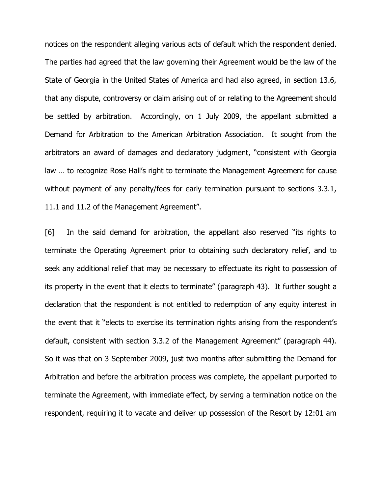notices on the respondent alleging various acts of default which the respondent denied. The parties had agreed that the law governing their Agreement would be the law of the State of Georgia in the United States of America and had also agreed, in section 13.6, that any dispute, controversy or claim arising out of or relating to the Agreement should be settled by arbitration. Accordingly, on 1 July 2009, the appellant submitted a Demand for Arbitration to the American Arbitration Association. It sought from the arbitrators an award of damages and declaratory judgment, "consistent with Georgia law … to recognize Rose Hall's right to terminate the Management Agreement for cause without payment of any penalty/fees for early termination pursuant to sections 3.3.1, 11.1 and 11.2 of the Management Agreement".

[6] In the said demand for arbitration, the appellant also reserved "its rights to terminate the Operating Agreement prior to obtaining such declaratory relief, and to seek any additional relief that may be necessary to effectuate its right to possession of its property in the event that it elects to terminate" (paragraph 43). It further sought a declaration that the respondent is not entitled to redemption of any equity interest in the event that it "elects to exercise its termination rights arising from the respondent's default, consistent with section 3.3.2 of the Management Agreement" (paragraph 44). So it was that on 3 September 2009, just two months after submitting the Demand for Arbitration and before the arbitration process was complete, the appellant purported to terminate the Agreement, with immediate effect, by serving a termination notice on the respondent, requiring it to vacate and deliver up possession of the Resort by 12:01 am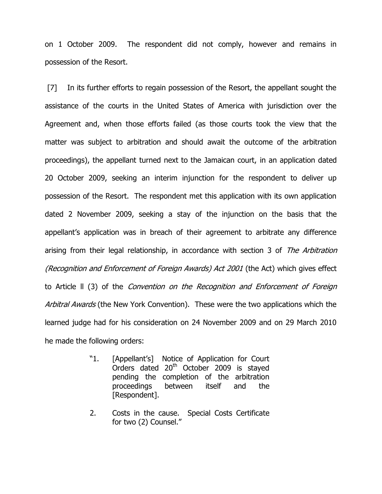on 1 October 2009. The respondent did not comply, however and remains in possession of the Resort.

[7] In its further efforts to regain possession of the Resort, the appellant sought the assistance of the courts in the United States of America with jurisdiction over the Agreement and, when those efforts failed (as those courts took the view that the matter was subject to arbitration and should await the outcome of the arbitration proceedings), the appellant turned next to the Jamaican court, in an application dated 20 October 2009, seeking an interim injunction for the respondent to deliver up possession of the Resort. The respondent met this application with its own application dated 2 November 2009, seeking a stay of the injunction on the basis that the appellant's application was in breach of their agreement to arbitrate any difference arising from their legal relationship, in accordance with section 3 of The Arbitration (Recognition and Enforcement of Foreign Awards) Act 2001 (the Act) which gives effect to Article ll (3) of the Convention on the Recognition and Enforcement of Foreign Arbitral Awards (the New York Convention). These were the two applications which the learned judge had for his consideration on 24 November 2009 and on 29 March 2010 he made the following orders:

- "1. [Appellant's] Notice of Application for Court Orders dated 20<sup>th</sup> October 2009 is stayed pending the completion of the arbitration proceedings between itself and the [Respondent].
- 2. Costs in the cause. Special Costs Certificate for two (2) Counsel."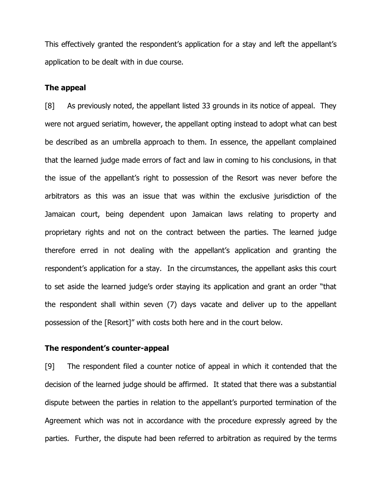This effectively granted the respondent's application for a stay and left the appellant's application to be dealt with in due course.

#### **The appeal**

[8] As previously noted, the appellant listed 33 grounds in its notice of appeal. They were not argued seriatim, however, the appellant opting instead to adopt what can best be described as an umbrella approach to them. In essence, the appellant complained that the learned judge made errors of fact and law in coming to his conclusions, in that the issue of the appellant's right to possession of the Resort was never before the arbitrators as this was an issue that was within the exclusive jurisdiction of the Jamaican court, being dependent upon Jamaican laws relating to property and proprietary rights and not on the contract between the parties. The learned judge therefore erred in not dealing with the appellant's application and granting the respondent's application for a stay. In the circumstances, the appellant asks this court to set aside the learned judge's order staying its application and grant an order "that the respondent shall within seven (7) days vacate and deliver up to the appellant possession of the [Resort]" with costs both here and in the court below.

## **The respondent's counter-appeal**

[9] The respondent filed a counter notice of appeal in which it contended that the decision of the learned judge should be affirmed. It stated that there was a substantial dispute between the parties in relation to the appellant's purported termination of the Agreement which was not in accordance with the procedure expressly agreed by the parties. Further, the dispute had been referred to arbitration as required by the terms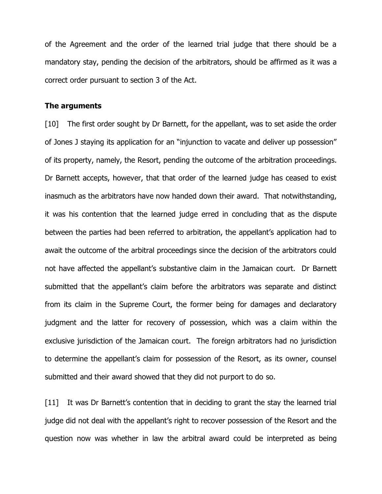of the Agreement and the order of the learned trial judge that there should be a mandatory stay, pending the decision of the arbitrators, should be affirmed as it was a correct order pursuant to section 3 of the Act.

#### **The arguments**

[10] The first order sought by Dr Barnett, for the appellant, was to set aside the order of Jones J staying its application for an "injunction to vacate and deliver up possession" of its property, namely, the Resort, pending the outcome of the arbitration proceedings. Dr Barnett accepts, however, that that order of the learned judge has ceased to exist inasmuch as the arbitrators have now handed down their award. That notwithstanding, it was his contention that the learned judge erred in concluding that as the dispute between the parties had been referred to arbitration, the appellant's application had to await the outcome of the arbitral proceedings since the decision of the arbitrators could not have affected the appellant's substantive claim in the Jamaican court. Dr Barnett submitted that the appellant's claim before the arbitrators was separate and distinct from its claim in the Supreme Court, the former being for damages and declaratory judgment and the latter for recovery of possession, which was a claim within the exclusive jurisdiction of the Jamaican court. The foreign arbitrators had no jurisdiction to determine the appellant's claim for possession of the Resort, as its owner, counsel submitted and their award showed that they did not purport to do so.

[11] It was Dr Barnett's contention that in deciding to grant the stay the learned trial judge did not deal with the appellant's right to recover possession of the Resort and the question now was whether in law the arbitral award could be interpreted as being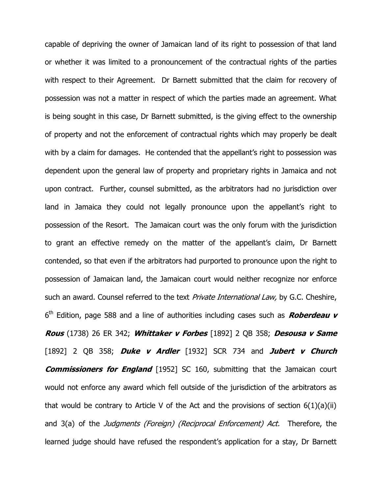capable of depriving the owner of Jamaican land of its right to possession of that land or whether it was limited to a pronouncement of the contractual rights of the parties with respect to their Agreement. Dr Barnett submitted that the claim for recovery of possession was not a matter in respect of which the parties made an agreement. What is being sought in this case, Dr Barnett submitted, is the giving effect to the ownership of property and not the enforcement of contractual rights which may properly be dealt with by a claim for damages. He contended that the appellant's right to possession was dependent upon the general law of property and proprietary rights in Jamaica and not upon contract. Further, counsel submitted, as the arbitrators had no jurisdiction over land in Jamaica they could not legally pronounce upon the appellant's right to possession of the Resort. The Jamaican court was the only forum with the jurisdiction to grant an effective remedy on the matter of the appellant's claim, Dr Barnett contended, so that even if the arbitrators had purported to pronounce upon the right to possession of Jamaican land, the Jamaican court would neither recognize nor enforce such an award. Counsel referred to the text *Private International Law*, by G.C. Cheshire, 6 th Edition, page 588 and a line of authorities including cases such as **Roberdeau v Rous** (1738) 26 ER 342; **Whittaker v Forbes** [1892] 2 QB 358; **Desousa v Same** [1892] 2 QB 358; **Duke v Ardler** [1932] SCR 734 and **Jubert v Church Commissioners for England** [1952] SC 160, submitting that the Jamaican court would not enforce any award which fell outside of the jurisdiction of the arbitrators as that would be contrary to Article V of the Act and the provisions of section  $6(1)(a)(ii)$ and 3(a) of the *Judgments (Foreign) (Reciprocal Enforcement) Act*. Therefore, the learned judge should have refused the respondent's application for a stay, Dr Barnett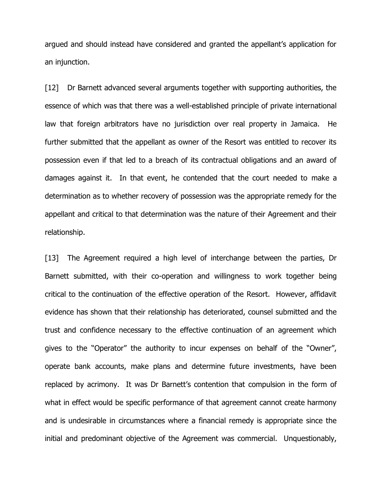argued and should instead have considered and granted the appellant's application for an injunction.

[12] Dr Barnett advanced several arguments together with supporting authorities, the essence of which was that there was a well-established principle of private international law that foreign arbitrators have no jurisdiction over real property in Jamaica. He further submitted that the appellant as owner of the Resort was entitled to recover its possession even if that led to a breach of its contractual obligations and an award of damages against it. In that event, he contended that the court needed to make a determination as to whether recovery of possession was the appropriate remedy for the appellant and critical to that determination was the nature of their Agreement and their relationship.

[13] The Agreement required a high level of interchange between the parties, Dr Barnett submitted, with their co-operation and willingness to work together being critical to the continuation of the effective operation of the Resort. However, affidavit evidence has shown that their relationship has deteriorated, counsel submitted and the trust and confidence necessary to the effective continuation of an agreement which gives to the "Operator" the authority to incur expenses on behalf of the "Owner", operate bank accounts, make plans and determine future investments, have been replaced by acrimony. It was Dr Barnett's contention that compulsion in the form of what in effect would be specific performance of that agreement cannot create harmony and is undesirable in circumstances where a financial remedy is appropriate since the initial and predominant objective of the Agreement was commercial. Unquestionably,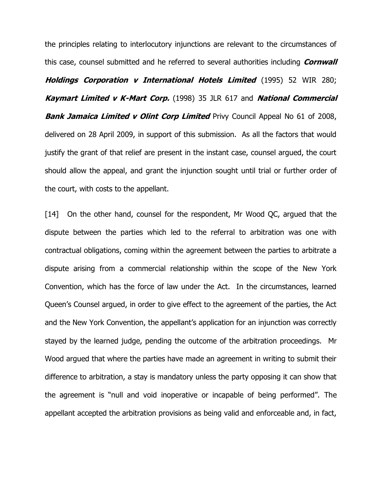the principles relating to interlocutory injunctions are relevant to the circumstances of this case, counsel submitted and he referred to several authorities including **Cornwall Holdings Corporation v International Hotels Limited** (1995) 52 WIR 280; **Kaymart Limited v K-Mart Corp.** (1998) 35 JLR 617 and **National Commercial Bank Jamaica Limited v Olint Corp Limited** Privy Council Appeal No 61 of 2008, delivered on 28 April 2009, in support of this submission. As all the factors that would justify the grant of that relief are present in the instant case, counsel argued, the court should allow the appeal, and grant the injunction sought until trial or further order of the court, with costs to the appellant.

[14] On the other hand, counsel for the respondent, Mr Wood QC, arqued that the dispute between the parties which led to the referral to arbitration was one with contractual obligations, coming within the agreement between the parties to arbitrate a dispute arising from a commercial relationship within the scope of the New York Convention, which has the force of law under the Act. In the circumstances, learned Queen's Counsel argued, in order to give effect to the agreement of the parties, the Act and the New York Convention, the appellant's application for an injunction was correctly stayed by the learned judge, pending the outcome of the arbitration proceedings. Mr Wood argued that where the parties have made an agreement in writing to submit their difference to arbitration, a stay is mandatory unless the party opposing it can show that the agreement is "null and void inoperative or incapable of being performed". The appellant accepted the arbitration provisions as being valid and enforceable and, in fact,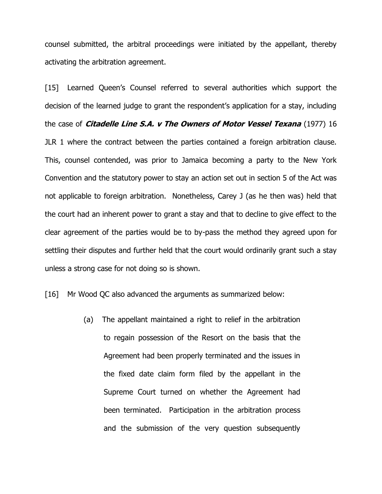counsel submitted, the arbitral proceedings were initiated by the appellant, thereby activating the arbitration agreement.

[15] Learned Queen's Counsel referred to several authorities which support the decision of the learned judge to grant the respondent's application for a stay, including the case of **Citadelle Line S.A. v The Owners of Motor Vessel Texana** (1977) 16 JLR 1 where the contract between the parties contained a foreign arbitration clause. This, counsel contended, was prior to Jamaica becoming a party to the New York Convention and the statutory power to stay an action set out in section 5 of the Act was not applicable to foreign arbitration. Nonetheless, Carey J (as he then was) held that the court had an inherent power to grant a stay and that to decline to give effect to the clear agreement of the parties would be to by-pass the method they agreed upon for settling their disputes and further held that the court would ordinarily grant such a stay unless a strong case for not doing so is shown.

[16] Mr Wood QC also advanced the arguments as summarized below:

(a) The appellant maintained a right to relief in the arbitration to regain possession of the Resort on the basis that the Agreement had been properly terminated and the issues in the fixed date claim form filed by the appellant in the Supreme Court turned on whether the Agreement had been terminated. Participation in the arbitration process and the submission of the very question subsequently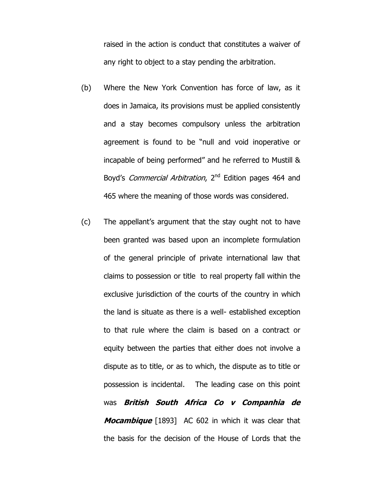raised in the action is conduct that constitutes a waiver of any right to object to a stay pending the arbitration.

- (b) Where the New York Convention has force of law, as it does in Jamaica, its provisions must be applied consistently and a stay becomes compulsory unless the arbitration agreement is found to be "null and void inoperative or incapable of being performed" and he referred to Mustill & Boyd's *Commercial Arbitration*, 2<sup>nd</sup> Edition pages 464 and 465 where the meaning of those words was considered.
- (c) The appellant's argument that the stay ought not to have been granted was based upon an incomplete formulation of the general principle of private international law that claims to possession or title to real property fall within the exclusive jurisdiction of the courts of the country in which the land is situate as there is a well- established exception to that rule where the claim is based on a contract or equity between the parties that either does not involve a dispute as to title, or as to which, the dispute as to title or possession is incidental. The leading case on this point was **British South Africa Co v Companhia de Mocambique** [1893] AC 602 in which it was clear that the basis for the decision of the House of Lords that the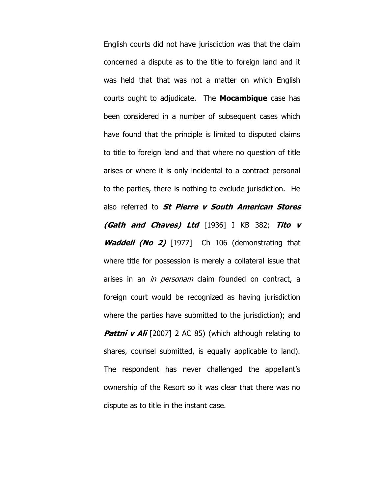English courts did not have jurisdiction was that the claim concerned a dispute as to the title to foreign land and it was held that that was not a matter on which English courts ought to adjudicate. The **Mocambique** case has been considered in a number of subsequent cases which have found that the principle is limited to disputed claims to title to foreign land and that where no question of title arises or where it is only incidental to a contract personal to the parties, there is nothing to exclude jurisdiction. He also referred to **St Pierre v South American Stores (Gath and Chaves) Ltd** [1936] I KB 382; **Tito v Waddell (No 2)** [1977] Ch 106 (demonstrating that where title for possession is merely a collateral issue that arises in an *in personam* claim founded on contract, a foreign court would be recognized as having jurisdiction where the parties have submitted to the jurisdiction); and **Pattni v Ali** [2007] 2 AC 85) (which although relating to shares, counsel submitted, is equally applicable to land). The respondent has never challenged the appellant's ownership of the Resort so it was clear that there was no dispute as to title in the instant case.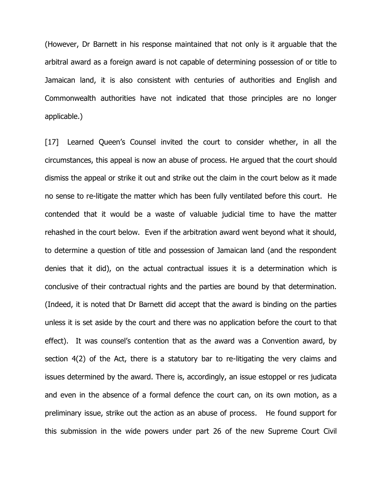(However, Dr Barnett in his response maintained that not only is it arguable that the arbitral award as a foreign award is not capable of determining possession of or title to Jamaican land, it is also consistent with centuries of authorities and English and Commonwealth authorities have not indicated that those principles are no longer applicable.)

[17] Learned Queen's Counsel invited the court to consider whether, in all the circumstances, this appeal is now an abuse of process. He argued that the court should dismiss the appeal or strike it out and strike out the claim in the court below as it made no sense to re-litigate the matter which has been fully ventilated before this court. He contended that it would be a waste of valuable judicial time to have the matter rehashed in the court below. Even if the arbitration award went beyond what it should, to determine a question of title and possession of Jamaican land (and the respondent denies that it did), on the actual contractual issues it is a determination which is conclusive of their contractual rights and the parties are bound by that determination. (Indeed, it is noted that Dr Barnett did accept that the award is binding on the parties unless it is set aside by the court and there was no application before the court to that effect). It was counsel's contention that as the award was a Convention award, by section 4(2) of the Act, there is a statutory bar to re-litigating the very claims and issues determined by the award. There is, accordingly, an issue estoppel or res judicata and even in the absence of a formal defence the court can, on its own motion, as a preliminary issue, strike out the action as an abuse of process. He found support for this submission in the wide powers under part 26 of the new Supreme Court Civil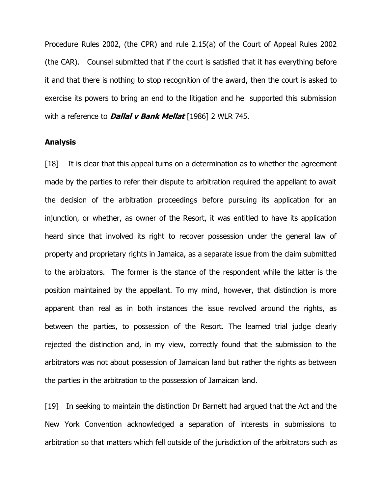Procedure Rules 2002, (the CPR) and rule 2.15(a) of the Court of Appeal Rules 2002 (the CAR). Counsel submitted that if the court is satisfied that it has everything before it and that there is nothing to stop recognition of the award, then the court is asked to exercise its powers to bring an end to the litigation and he supported this submission with a reference to **Dallal v Bank Mellat** [1986] 2 WLR 745.

## **Analysis**

[18] It is clear that this appeal turns on a determination as to whether the agreement made by the parties to refer their dispute to arbitration required the appellant to await the decision of the arbitration proceedings before pursuing its application for an injunction, or whether, as owner of the Resort, it was entitled to have its application heard since that involved its right to recover possession under the general law of property and proprietary rights in Jamaica, as a separate issue from the claim submitted to the arbitrators. The former is the stance of the respondent while the latter is the position maintained by the appellant. To my mind, however, that distinction is more apparent than real as in both instances the issue revolved around the rights, as between the parties, to possession of the Resort. The learned trial judge clearly rejected the distinction and, in my view, correctly found that the submission to the arbitrators was not about possession of Jamaican land but rather the rights as between the parties in the arbitration to the possession of Jamaican land.

[19] In seeking to maintain the distinction Dr Barnett had argued that the Act and the New York Convention acknowledged a separation of interests in submissions to arbitration so that matters which fell outside of the jurisdiction of the arbitrators such as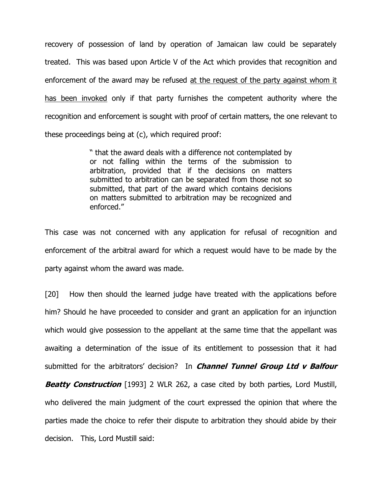recovery of possession of land by operation of Jamaican law could be separately treated. This was based upon Article V of the Act which provides that recognition and enforcement of the award may be refused at the request of the party against whom it has been invoked only if that party furnishes the competent authority where the recognition and enforcement is sought with proof of certain matters, the one relevant to these proceedings being at (c), which required proof:

> " that the award deals with a difference not contemplated by or not falling within the terms of the submission to arbitration, provided that if the decisions on matters submitted to arbitration can be separated from those not so submitted, that part of the award which contains decisions on matters submitted to arbitration may be recognized and enforced."

This case was not concerned with any application for refusal of recognition and enforcement of the arbitral award for which a request would have to be made by the party against whom the award was made.

[20] How then should the learned judge have treated with the applications before him? Should he have proceeded to consider and grant an application for an injunction which would give possession to the appellant at the same time that the appellant was awaiting a determination of the issue of its entitlement to possession that it had submitted for the arbitrators' decision? In **Channel Tunnel Group Ltd v Balfour**

**Beatty Construction** [1993] 2 WLR 262, a case cited by both parties, Lord Mustill, who delivered the main judgment of the court expressed the opinion that where the parties made the choice to refer their dispute to arbitration they should abide by their decision. This, Lord Mustill said: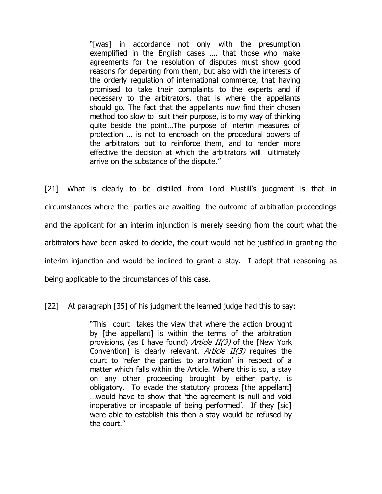"[was] in accordance not only with the presumption exemplified in the English cases …. that those who make agreements for the resolution of disputes must show good reasons for departing from them, but also with the interests of the orderly regulation of international commerce, that having promised to take their complaints to the experts and if necessary to the arbitrators, that is where the appellants should go. The fact that the appellants now find their chosen method too slow to suit their purpose, is to my way of thinking quite beside the point…The purpose of interim measures of protection … is not to encroach on the procedural powers of the arbitrators but to reinforce them, and to render more effective the decision at which the arbitrators will ultimately arrive on the substance of the dispute."

[21] What is clearly to be distilled from Lord Mustill's judgment is that in circumstances where the parties are awaiting the outcome of arbitration proceedings and the applicant for an interim injunction is merely seeking from the court what the arbitrators have been asked to decide, the court would not be justified in granting the interim injunction and would be inclined to grant a stay. I adopt that reasoning as being applicable to the circumstances of this case.

[22] At paragraph [35] of his judgment the learned judge had this to say:

"This court takes the view that where the action brought by [the appellant] is within the terms of the arbitration provisions, (as I have found) Article II(3) of the [New York Convention] is clearly relevant. Article  $II(3)$  requires the court to 'refer the parties to arbitration' in respect of a matter which falls within the Article. Where this is so, a stay on any other proceeding brought by either party, is obligatory. To evade the statutory process [the appellant] …would have to show that 'the agreement is null and void inoperative or incapable of being performed'. If they [sic] were able to establish this then a stay would be refused by the court."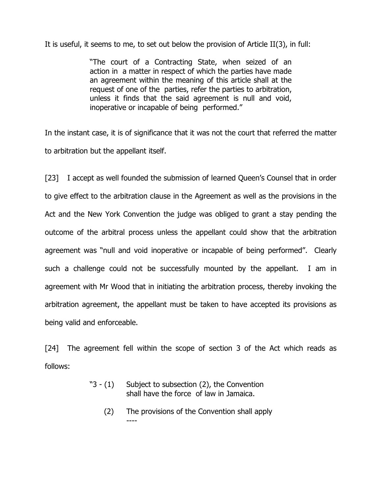It is useful, it seems to me, to set out below the provision of Article II(3), in full:

"The court of a Contracting State, when seized of an action in a matter in respect of which the parties have made an agreement within the meaning of this article shall at the request of one of the parties, refer the parties to arbitration, unless it finds that the said agreement is null and void, inoperative or incapable of being performed."

In the instant case, it is of significance that it was not the court that referred the matter to arbitration but the appellant itself.

[23] I accept as well founded the submission of learned Queen's Counsel that in order to give effect to the arbitration clause in the Agreement as well as the provisions in the Act and the New York Convention the judge was obliged to grant a stay pending the outcome of the arbitral process unless the appellant could show that the arbitration agreement was "null and void inoperative or incapable of being performed". Clearly such a challenge could not be successfully mounted by the appellant. I am in agreement with Mr Wood that in initiating the arbitration process, thereby invoking the arbitration agreement, the appellant must be taken to have accepted its provisions as being valid and enforceable.

[24] The agreement fell within the scope of section 3 of the Act which reads as follows:

- "3 (1) Subject to subsection (2), the Convention shall have the force of law in Jamaica.
	- (2) The provisions of the Convention shall apply ----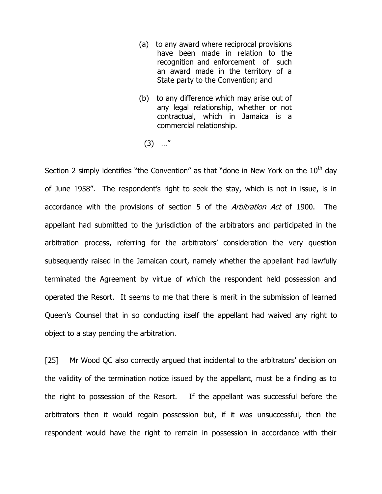- (a) to any award where reciprocal provisions have been made in relation to the recognition and enforcement of such an award made in the territory of a State party to the Convention; and
- (b) to any difference which may arise out of any legal relationship, whether or not contractual, which in Jamaica is a commercial relationship.
	- (3) …"

Section 2 simply identifies "the Convention" as that "done in New York on the  $10<sup>th</sup>$  day of June 1958". The respondent's right to seek the stay, which is not in issue, is in accordance with the provisions of section 5 of the *Arbitration Act* of 1900. The appellant had submitted to the jurisdiction of the arbitrators and participated in the arbitration process, referring for the arbitrators' consideration the very question subsequently raised in the Jamaican court, namely whether the appellant had lawfully terminated the Agreement by virtue of which the respondent held possession and operated the Resort. It seems to me that there is merit in the submission of learned Queen's Counsel that in so conducting itself the appellant had waived any right to object to a stay pending the arbitration.

[25] Mr Wood QC also correctly argued that incidental to the arbitrators' decision on the validity of the termination notice issued by the appellant, must be a finding as to the right to possession of the Resort. If the appellant was successful before the arbitrators then it would regain possession but, if it was unsuccessful, then the respondent would have the right to remain in possession in accordance with their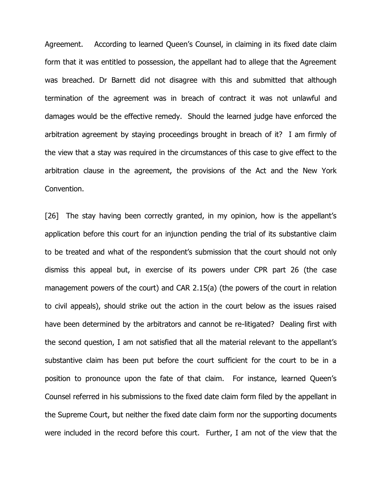Agreement. According to learned Queen's Counsel, in claiming in its fixed date claim form that it was entitled to possession, the appellant had to allege that the Agreement was breached. Dr Barnett did not disagree with this and submitted that although termination of the agreement was in breach of contract it was not unlawful and damages would be the effective remedy. Should the learned judge have enforced the arbitration agreement by staying proceedings brought in breach of it? I am firmly of the view that a stay was required in the circumstances of this case to give effect to the arbitration clause in the agreement, the provisions of the Act and the New York Convention.

[26] The stay having been correctly granted, in my opinion, how is the appellant's application before this court for an injunction pending the trial of its substantive claim to be treated and what of the respondent's submission that the court should not only dismiss this appeal but, in exercise of its powers under CPR part 26 (the case management powers of the court) and CAR 2.15(a) (the powers of the court in relation to civil appeals), should strike out the action in the court below as the issues raised have been determined by the arbitrators and cannot be re-litigated? Dealing first with the second question, I am not satisfied that all the material relevant to the appellant's substantive claim has been put before the court sufficient for the court to be in a position to pronounce upon the fate of that claim. For instance, learned Queen's Counsel referred in his submissions to the fixed date claim form filed by the appellant in the Supreme Court, but neither the fixed date claim form nor the supporting documents were included in the record before this court. Further, I am not of the view that the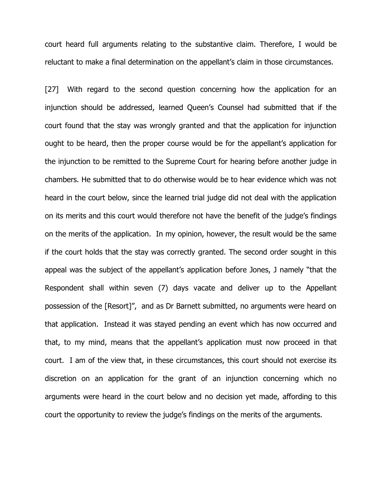court heard full arguments relating to the substantive claim. Therefore, I would be reluctant to make a final determination on the appellant's claim in those circumstances.

[27] With regard to the second question concerning how the application for an injunction should be addressed, learned Queen's Counsel had submitted that if the court found that the stay was wrongly granted and that the application for injunction ought to be heard, then the proper course would be for the appellant's application for the injunction to be remitted to the Supreme Court for hearing before another judge in chambers. He submitted that to do otherwise would be to hear evidence which was not heard in the court below, since the learned trial judge did not deal with the application on its merits and this court would therefore not have the benefit of the judge's findings on the merits of the application. In my opinion, however, the result would be the same if the court holds that the stay was correctly granted. The second order sought in this appeal was the subject of the appellant's application before Jones, J namely "that the Respondent shall within seven (7) days vacate and deliver up to the Appellant possession of the [Resort]", and as Dr Barnett submitted, no arguments were heard on that application. Instead it was stayed pending an event which has now occurred and that, to my mind, means that the appellant's application must now proceed in that court. I am of the view that, in these circumstances, this court should not exercise its discretion on an application for the grant of an injunction concerning which no arguments were heard in the court below and no decision yet made, affording to this court the opportunity to review the judge's findings on the merits of the arguments.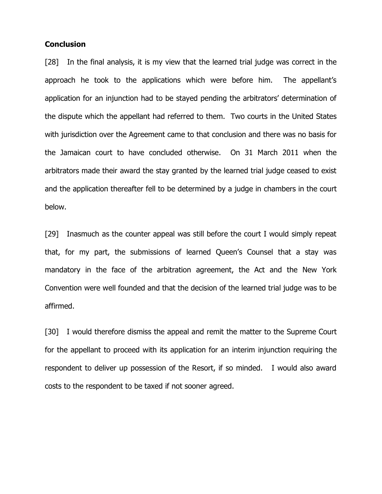### **Conclusion**

[28] In the final analysis, it is my view that the learned trial judge was correct in the approach he took to the applications which were before him. The appellant's application for an injunction had to be stayed pending the arbitrators' determination of the dispute which the appellant had referred to them. Two courts in the United States with jurisdiction over the Agreement came to that conclusion and there was no basis for the Jamaican court to have concluded otherwise. On 31 March 2011 when the arbitrators made their award the stay granted by the learned trial judge ceased to exist and the application thereafter fell to be determined by a judge in chambers in the court below.

[29] Inasmuch as the counter appeal was still before the court I would simply repeat that, for my part, the submissions of learned Queen's Counsel that a stay was mandatory in the face of the arbitration agreement, the Act and the New York Convention were well founded and that the decision of the learned trial judge was to be affirmed.

[30] I would therefore dismiss the appeal and remit the matter to the Supreme Court for the appellant to proceed with its application for an interim injunction requiring the respondent to deliver up possession of the Resort, if so minded. I would also award costs to the respondent to be taxed if not sooner agreed.